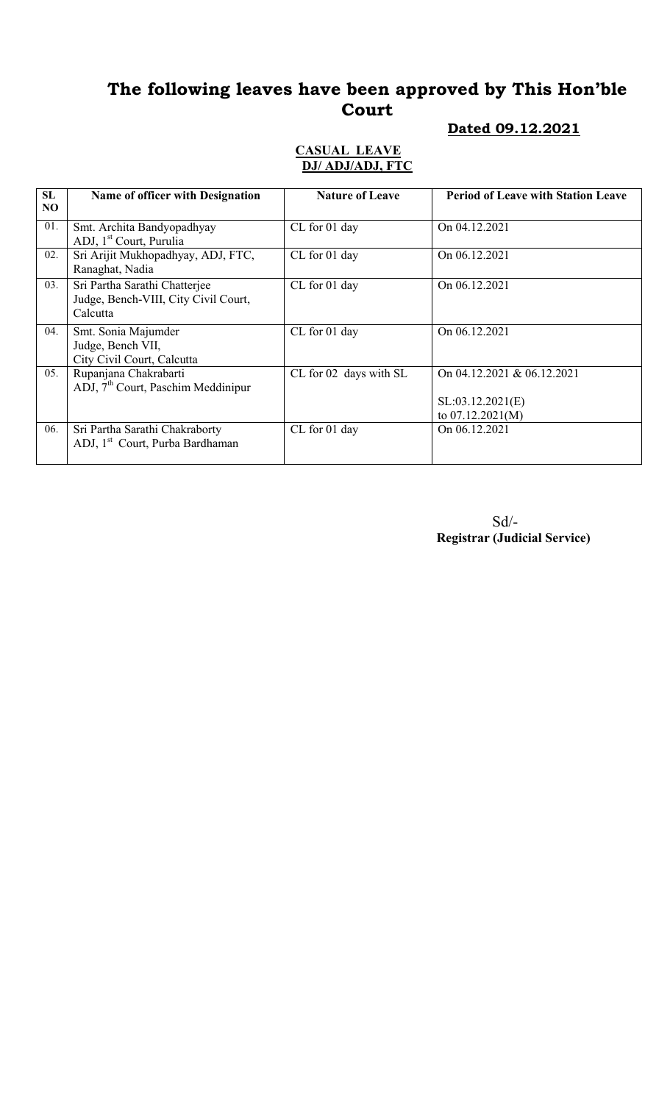# The following leaves have been approved by This Hon'ble Court

#### Dated 09.12.2021

#### CASUAL LEAVE DJ/ ADJ/ADJ, FTC

| SL<br>N <sub>O</sub> | <b>Name of officer with Designation</b>                                           | <b>Nature of Leave</b> | <b>Period of Leave with Station Leave</b>                            |
|----------------------|-----------------------------------------------------------------------------------|------------------------|----------------------------------------------------------------------|
| 01.                  | Smt. Archita Bandyopadhyay<br>ADJ, 1 <sup>st</sup> Court, Purulia                 | CL for 01 day          | On 04.12.2021                                                        |
| 02.                  | Sri Arijit Mukhopadhyay, ADJ, FTC,<br>Ranaghat, Nadia                             | CL for 01 day          | On 06.12.2021                                                        |
| 03.                  | Sri Partha Sarathi Chatterjee<br>Judge, Bench-VIII, City Civil Court,<br>Calcutta | CL for 01 day          | On 06.12.2021                                                        |
| 04.                  | Smt. Sonia Majumder<br>Judge, Bench VII,<br>City Civil Court, Calcutta            | CL for 01 day          | On 06.12.2021                                                        |
| 05.                  | Rupanjana Chakrabarti<br>$ADJ$ , $7th$ Court, Paschim Meddinipur                  | CL for 02 days with SL | On 04.12.2021 & 06.12.2021<br>SL:03.12.2021(E)<br>to $07.12.2021(M)$ |
| 06.                  | Sri Partha Sarathi Chakraborty<br>ADJ, 1 <sup>st</sup> Court, Purba Bardhaman     | CL for 01 day          | On 06.12.2021                                                        |

Sd/- Registrar (Judicial Service)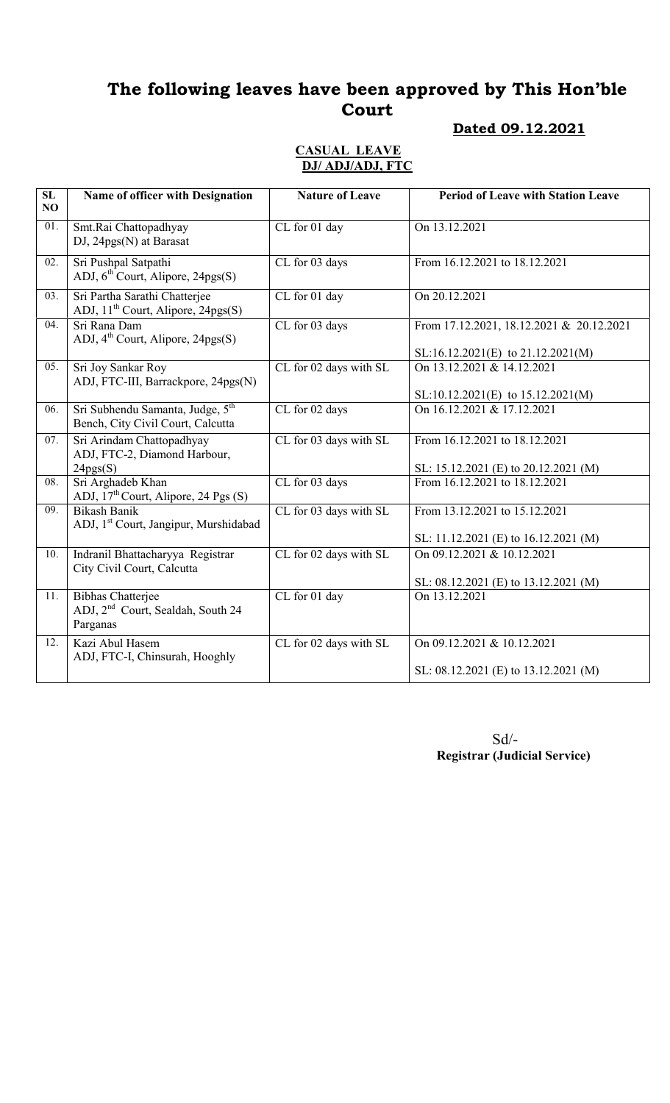# The following leaves have been approved by This Hon'ble Court

### Dated 09.12.2021

#### CASUAL LEAVE DJ/ ADJ/ADJ, FTC

| $\overline{\text{SL}}$<br>NO | Name of officer with Designation                                                      | <b>Nature of Leave</b> | <b>Period of Leave with Station Leave</b>                                     |
|------------------------------|---------------------------------------------------------------------------------------|------------------------|-------------------------------------------------------------------------------|
| 01.                          | Smt.Rai Chattopadhyay<br>$DJ$ , 24 $pgs(N)$ at Barasat                                | CL for 01 day          | On 13.12.2021                                                                 |
| 02.                          | Sri Pushpal Satpathi<br>ADJ, 6 <sup>th</sup> Court, Alipore, 24pgs(S)                 | CL for 03 days         | From 16.12.2021 to 18.12.2021                                                 |
| 03.                          | Sri Partha Sarathi Chatterjee<br>ADJ, 11 <sup>th</sup> Court, Alipore, 24pgs(S)       | CL for 01 day          | On 20.12.2021                                                                 |
| $\overline{04}$ .            | Sri Rana Dam<br>ADJ, $4^{\text{th}}$ Court, Alipore, 24pgs(S)                         | CL for 03 days         | From 17.12.2021, 18.12.2021 & 20.12.2021<br>SL:16.12.2021(E) to 21.12.2021(M) |
| 05.                          | Sri Joy Sankar Roy<br>ADJ, FTC-III, Barrackpore, 24pgs(N)                             | CL for 02 days with SL | On 13.12.2021 & 14.12.2021<br>SL:10.12.2021(E) to 15.12.2021(M)               |
| 06.                          | Sri Subhendu Samanta, Judge, 5 <sup>th</sup><br>Bench, City Civil Court, Calcutta     | CL for 02 days         | On 16.12.2021 & 17.12.2021                                                    |
| 07.                          | Sri Arindam Chattopadhyay<br>ADJ, FTC-2, Diamond Harbour,<br>24pgs(S)                 | CL for 03 days with SL | From 16.12.2021 to 18.12.2021<br>SL: 15.12.2021 (E) to 20.12.2021 (M)         |
| $\overline{08}$ .            | Sri Arghadeb Khan<br>ADJ, 17 <sup>th</sup> Court, Alipore, 24 Pgs (S)                 | CL for 03 days         | From 16.12.2021 to 18.12.2021                                                 |
| $\overline{09}$ .            | <b>Bikash Banik</b><br>ADJ, 1 <sup>st</sup> Court, Jangipur, Murshidabad              | CL for 03 days with SL | From 13.12.2021 to 15.12.2021                                                 |
|                              |                                                                                       |                        | SL: 11.12.2021 (E) to 16.12.2021 (M)                                          |
| 10.                          | Indranil Bhattacharyya Registrar<br>City Civil Court, Calcutta                        | CL for 02 days with SL | On 09.12.2021 & 10.12.2021<br>SL: 08.12.2021 (E) to 13.12.2021 (M)            |
| 11.                          | <b>Bibhas Chatterjee</b><br>ADJ, 2 <sup>nd</sup> Court, Sealdah, South 24<br>Parganas | CL for 01 day          | On 13.12.2021                                                                 |
| 12.                          | Kazi Abul Hasem<br>ADJ, FTC-I, Chinsurah, Hooghly                                     | CL for 02 days with SL | On 09.12.2021 & 10.12.2021<br>SL: 08.12.2021 (E) to 13.12.2021 (M)            |
|                              |                                                                                       |                        |                                                                               |

Sd/- Registrar (Judicial Service)